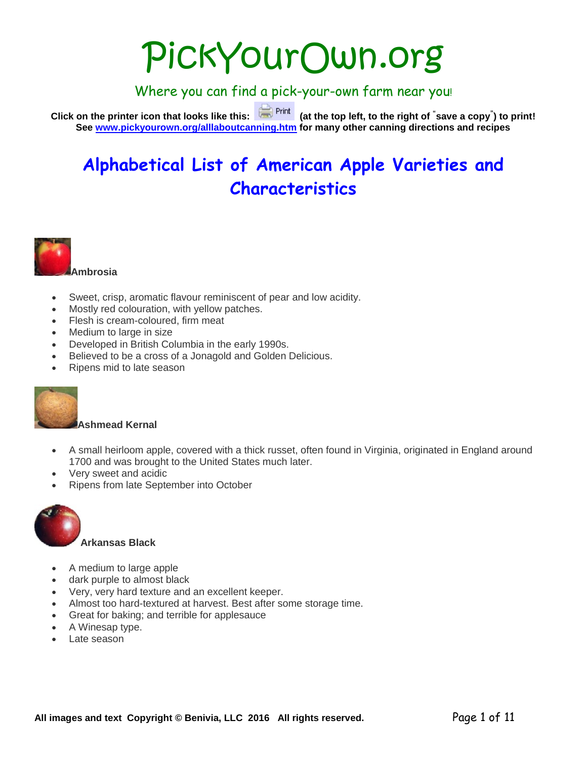# PickYourOwn.org

Where you can find a pick-your-own farm near you!

**Click on the printer icon that looks like this: (at the top left, to the right of " save a copy" ) to print! See [www.pickyourown.org/alllaboutcanning.htm](http://www.pickyourown.org/alllaboutcanning.htm) for many other canning directions and recipes**

## **Alphabetical List of American Apple Varieties and Characteristics**



- Sweet, crisp, aromatic flavour reminiscent of pear and low acidity.
- Mostly red colouration, with yellow patches.
- Flesh is cream-coloured, firm meat
- Medium to large in size
- Developed in British Columbia in the early 1990s.
- Believed to be a cross of a Jonagold and Golden Delicious.
- Ripens mid to late season



#### **Ashmead Kernal**

- A small heirloom apple, covered with a thick russet, often found in Virginia, originated in England around 1700 and was brought to the United States much later.
- Very sweet and acidic
- Ripens from late September into October



#### **Arkansas Black**

- A medium to large apple
- dark purple to almost black
- Very, very hard texture and an excellent keeper.
- Almost too hard-textured at harvest. Best after some storage time.
- Great for baking; and terrible for applesauce
- A Winesap type.
- Late season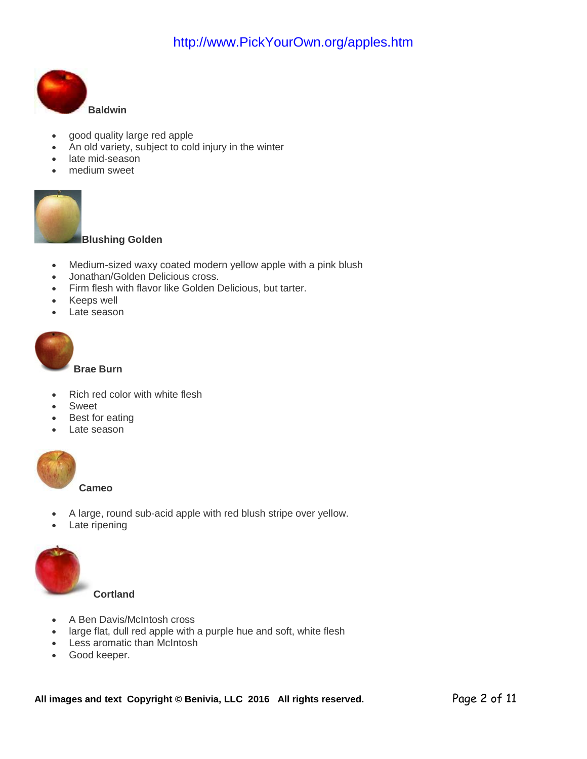

- good quality large red apple
- An old variety, subject to cold injury in the winter
- late mid-season
- medium sweet



#### **Blushing Golden**

- Medium-sized waxy coated modern yellow apple with a pink blush
- Jonathan/Golden Delicious cross.
- Firm flesh with flavor like Golden Delicious, but tarter.
- Keeps well
- Late season



**Brae Burn**

- Rich red color with white flesh
- **Sweet**
- Best for eating
- Late season



**Cameo**

- A large, round sub-acid apple with red blush stripe over yellow.
- Late ripening



**Cortland**

- A Ben Davis/McIntosh cross
- large flat, dull red apple with a purple hue and soft, white flesh
- Less aromatic than McIntosh
- Good keeper.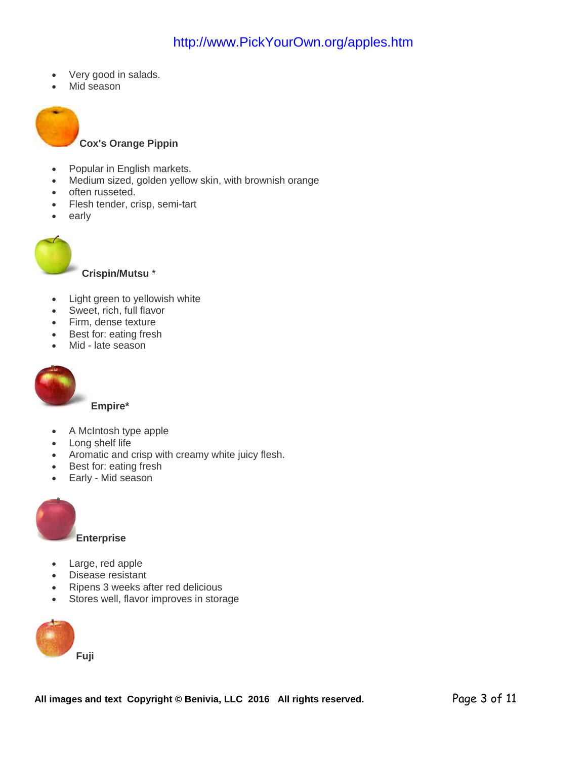- Very good in salads.
- Mid season



- Popular in English markets.
- Medium sized, golden yellow skin, with brownish orange
- often russeted.
- Flesh tender, crisp, semi-tart
- early



**Crispin/Mutsu** \*

- Light green to yellowish white
- Sweet, rich, full flavor
- Firm, dense texture
- Best for: eating fresh
- Mid late season



**Empire\***

- A McIntosh type apple
- Long shelf life
- Aromatic and crisp with creamy white juicy flesh.
- Best for: eating fresh
- Early Mid season



- Large, red apple
- Disease resistant
- Ripens 3 weeks after red delicious
- Stores well, flavor improves in storage

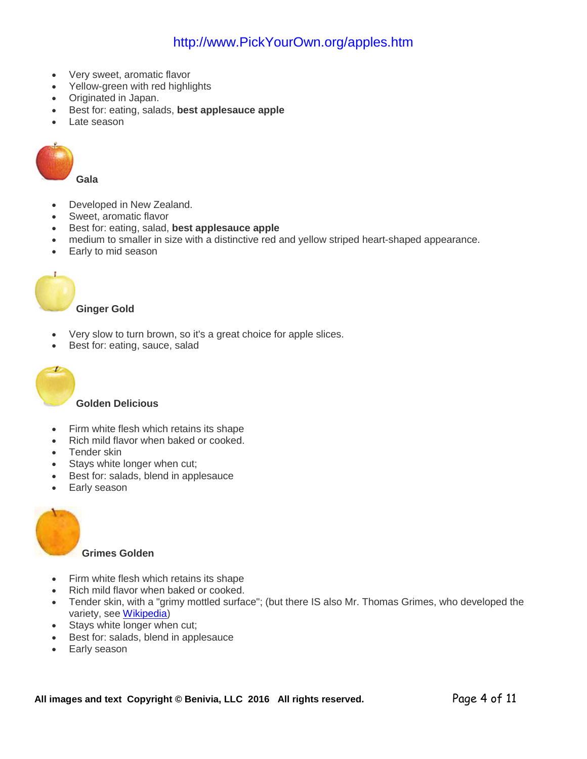- Very sweet, aromatic flavor
- Yellow-green with red highlights
- Originated in Japan.
- Best for: eating, salads, **best applesauce apple**
- Late season



**Gala**

- Developed in New Zealand.
- Sweet, aromatic flavor
- Best for: eating, salad, **best applesauce apple**
- medium to smaller in size with a distinctive red and yellow striped heart-shaped appearance.
- Early to mid season



#### **Ginger Gold**

- Very slow to turn brown, so it's a great choice for apple slices.
- Best for: eating, sauce, salad



#### **Golden Delicious**

- Firm white flesh which retains its shape
- Rich mild flavor when baked or cooked.
- Tender skin
- Stays white longer when cut;
- Best for: salads, blend in applesauce
- Early season



#### **Grimes Golden**

- Firm white flesh which retains its shape
- Rich mild flavor when baked or cooked.
- Tender skin, with a "grimy mottled surface"; (but there IS also Mr. Thomas Grimes, who developed the variety, see [Wikipedia\)](http://www.pickyourown.org/PYO.php?URL=http%3A%2F%2Fen.wikipedia.org/wiki/Grimes_Golden)
- Stays white longer when cut;
- Best for: salads, blend in applesauce
- Early season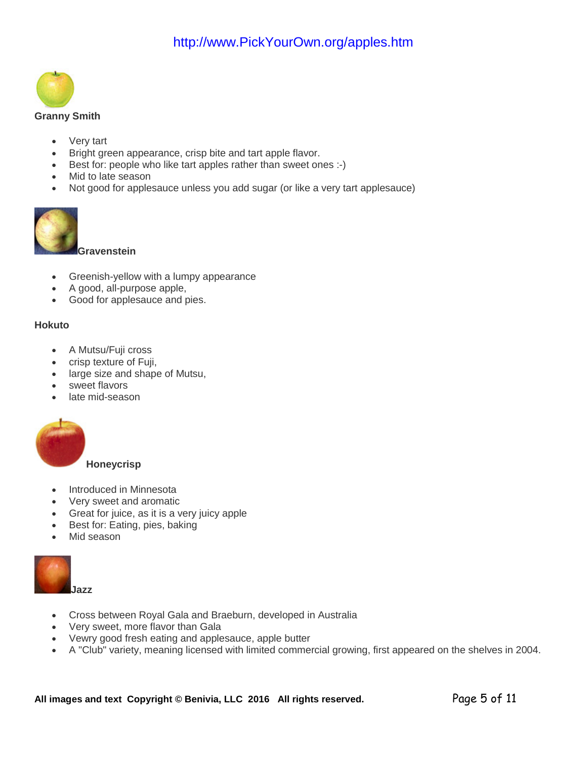

#### **Granny Smith**

- Very tart
- Bright green appearance, crisp bite and tart apple flavor.
- Best for: people who like tart apples rather than sweet ones :-)
- Mid to late season
- Not good for applesauce unless you add sugar (or like a very tart applesauce)



**Gravenstein** 

- Greenish-yellow with a lumpy appearance
- A good, all-purpose apple,
- Good for applesauce and pies.

#### **Hokuto**

- A Mutsu/Fuji cross
- crisp texture of Fuji,
- large size and shape of Mutsu,
- sweet flavors
- late mid-season



**Honeycrisp**

- Introduced in Minnesota
- Very sweet and aromatic
- Great for juice, as it is a very juicy apple
- Best for: Eating, pies, baking
- Mid season



- Cross between Royal Gala and Braeburn, developed in Australia
- Very sweet, more flavor than Gala
- Vewry good fresh eating and applesauce, apple butter
- A "Club" variety, meaning licensed with limited commercial growing, first appeared on the shelves in 2004.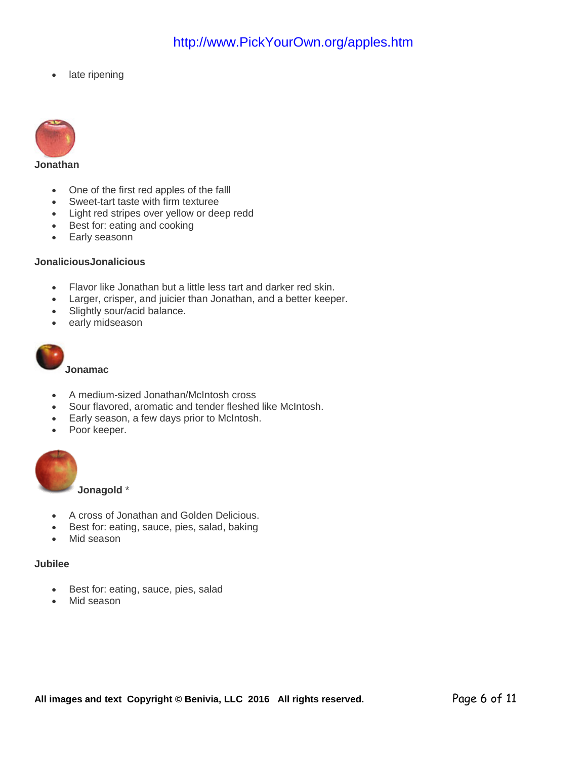late ripening



#### **Jonathan**

- One of the first red apples of the falll
- Sweet-tart taste with firm texturee
- Light red stripes over yellow or deep redd
- Best for: eating and cooking
- Early seasonn

#### **JonaliciousJonalicious**

- Flavor like Jonathan but a little less tart and darker red skin.
- Larger, crisper, and juicier than Jonathan, and a better keeper.
- Slightly sour/acid balance.
- early midseason



**Jonamac**

- A medium-sized Jonathan/McIntosh cross
- Sour flavored, aromatic and tender fleshed like McIntosh.
- Early season, a few days prior to McIntosh.
- Poor keeper.



**Jonagold** \*

- A cross of Jonathan and Golden Delicious.
- Best for: eating, sauce, pies, salad, baking
- Mid season

#### **Jubilee**

- Best for: eating, sauce, pies, salad
- Mid season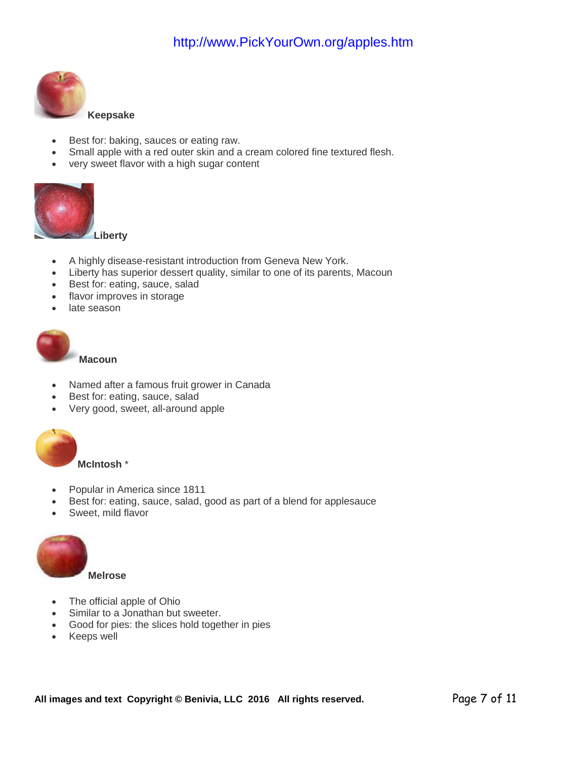

#### **Keepsake**

- Best for: baking, sauces or eating raw.
- Small apple with a red outer skin and a cream colored fine textured flesh.
- very sweet flavor with a high sugar content



- A highly disease-resistant introduction from Geneva New York.
- Liberty has superior dessert quality, similar to one of its parents, Macoun
- Best for: eating, sauce, salad
- flavor improves in storage
- late season



**Macoun**

- Named after a famous fruit grower in Canada
- Best for: eating, sauce, salad
- Very good, sweet, all-around apple



- Popular in America since 1811
- Best for: eating, sauce, salad, good as part of a blend for applesauce
- Sweet, mild flavor



**Melrose**

- The official apple of Ohio
- Similar to a Jonathan but sweeter.
- Good for pies: the slices hold together in pies
- Keeps well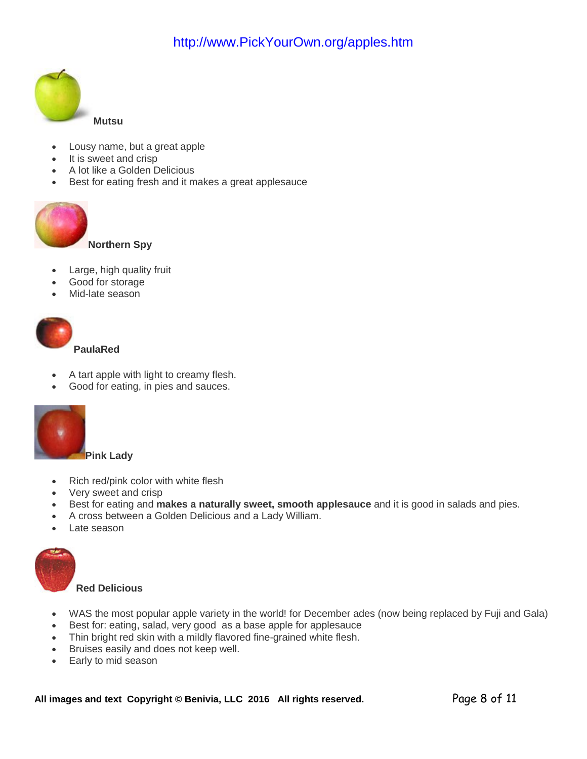

- Lousy name, but a great apple
- It is sweet and crisp
- A lot like a Golden Delicious
- Best for eating fresh and it makes a great applesauce



**Northern Spy**

- Large, high quality fruit
- Good for storage
- Mid-late season

|  | Pau |  |
|--|-----|--|

**PaulaRed**

- A tart apple with light to creamy flesh.
- Good for eating, in pies and sauces.



- Rich red/pink color with white flesh
- Very sweet and crisp
- Best for eating and **makes a naturally sweet, smooth applesauce** and it is good in salads and pies.
- A cross between a Golden Delicious and a Lady William.
- Late season



#### **Red Delicious**

- WAS the most popular apple variety in the world! for December ades (now being replaced by Fuji and Gala)
- Best for: eating, salad, very good as a base apple for applesauce
- Thin bright red skin with a mildly flavored fine-grained white flesh.
- Bruises easily and does not keep well.
- Early to mid season

All images and text Copyright © Benivia, LLC 2016 All rights reserved. Page 8 of 11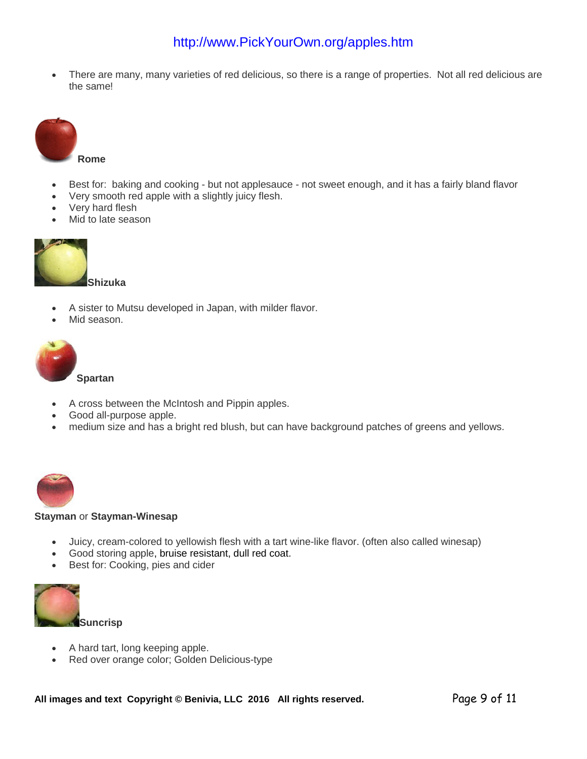• There are many, many varieties of red delicious, so there is a range of properties. Not all red delicious are the same!



- Best for: baking and cooking but not applesauce not sweet enough, and it has a fairly bland flavor
- Very smooth red apple with a slightly juicy flesh.
- Very hard flesh
- Mid to late season



#### **Shizuka**

- A sister to Mutsu developed in Japan, with milder flavor.
- Mid season



- A cross between the McIntosh and Pippin apples.
- Good all-purpose apple.
- medium size and has a bright red blush, but can have background patches of greens and yellows.



#### **Stayman** or **Stayman-Winesap**

- Juicy, cream-colored to yellowish flesh with a tart wine-like flavor. (often also called winesap)
- Good storing apple, bruise resistant, dull red coat.
- Best for: Cooking, pies and cider



- A hard tart, long keeping apple.
- Red over orange color; Golden Delicious-type

All images and text Copyright © Benivia, LLC 2016 All rights reserved. Page 9 of 11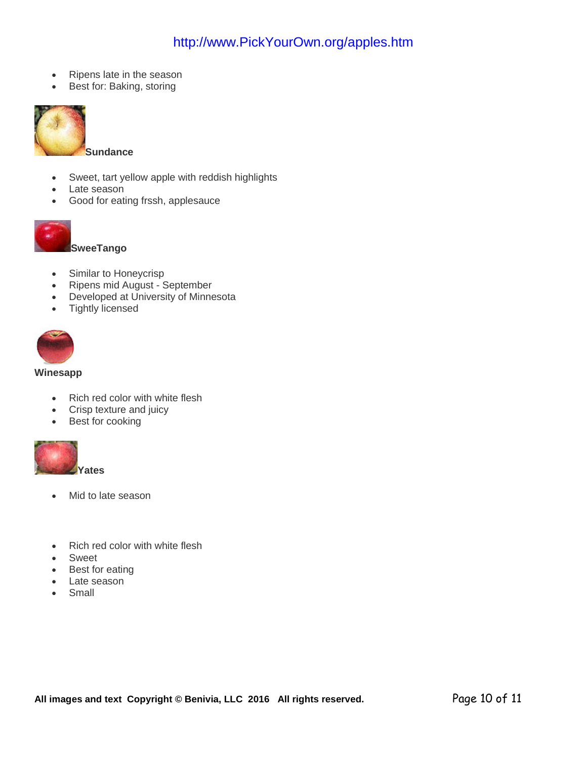- Ripens late in the season
- Best for: Baking, storing



- Sweet, tart yellow apple with reddish highlights
- Late season
- Good for eating frssh, applesauce



**SweeTango**

- Similar to Honeycrisp
- Ripens mid August September
- Developed at University of Minnesota
- Tightly licensed



#### **Winesapp**

- Rich red color with white flesh
- Crisp texture and juicy
- Best for cooking



- Mid to late season
- Rich red color with white flesh
- **Sweet**
- Best for eating
- Late season
- Small